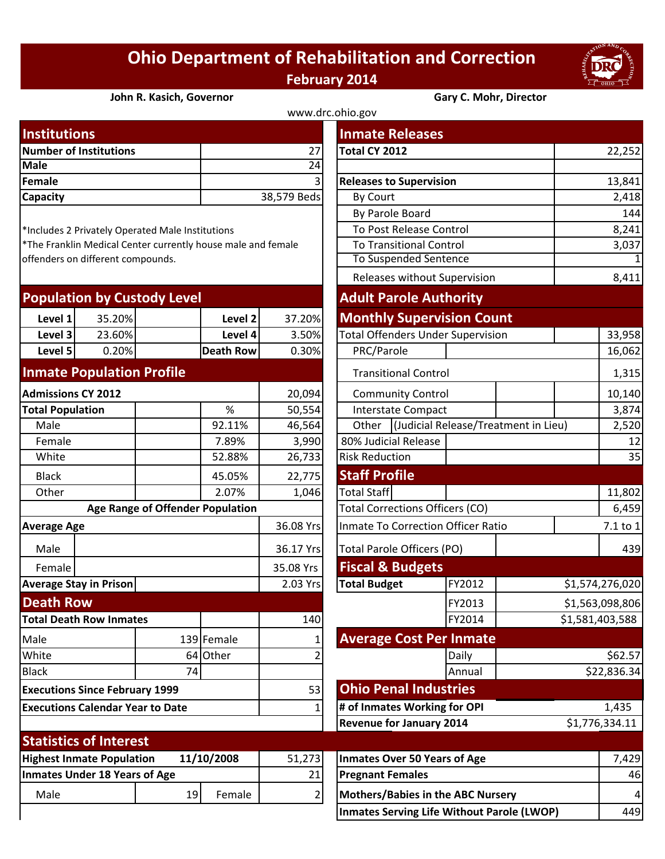## **Ohio Department of Rehabilitation and Correction February 2014**



## **John R. Kasich, Governor Gary C. Mohr, Director**

| www.drc.ohio.gov              |                |                                |        |  |  |  |
|-------------------------------|----------------|--------------------------------|--------|--|--|--|
| <b>Institutions</b>           |                | <b>Inmate Releases</b>         |        |  |  |  |
| <b>Number of Institutions</b> | 27             | Total CY 2012                  | 22,252 |  |  |  |
| <b>Male</b>                   | 24             |                                |        |  |  |  |
| Female                        | 3 <sup>l</sup> | <b>Releases to Supervision</b> | 13,841 |  |  |  |
| <b>Capacity</b>               | 38,579 Beds    | By Court                       | 2,418  |  |  |  |
|                               |                |                                |        |  |  |  |

| <b>Population by Custody Level</b> |        |                  |        | <b>Adult Parole Authority</b>            |  |  |
|------------------------------------|--------|------------------|--------|------------------------------------------|--|--|
| Level 1                            | 35.20% | Level 2          | 37.20% | <b>Monthly Supervision Count</b>         |  |  |
| Level 3                            | 23.60% | Level 4          | 3.50%  | <b>Total Offenders Under Supervision</b> |  |  |
| Level 5                            | 0.20%  | <b>Death Row</b> | 0.30%  | PRC/Parole                               |  |  |
|                                    |        |                  |        |                                          |  |  |

## **Inmate Population Profile**

| <b>Admissions CY 2012</b>                      |                               |                                  | 20,094     |                     | <b>Community Control</b>                  |                                 |        |  |
|------------------------------------------------|-------------------------------|----------------------------------|------------|---------------------|-------------------------------------------|---------------------------------|--------|--|
| <b>Total Population</b>                        |                               |                                  | %          | 50,554              |                                           | <b>Interstate Compact</b>       |        |  |
| Male                                           |                               |                                  | 92.11%     | 46,564              | (Judicial Release/Treatme<br>Other        |                                 |        |  |
| Female                                         |                               |                                  | 7.89%      | 3,990               | 80% Judicial Release                      |                                 |        |  |
| White                                          |                               |                                  | 52.88%     | 26,733              | <b>Risk Reduction</b>                     |                                 |        |  |
| <b>Black</b>                                   |                               |                                  | 45.05%     | 22,775              | <b>Staff Profile</b>                      |                                 |        |  |
| Other                                          |                               |                                  | 2.07%      | 1,046               | <b>Total Staff</b>                        |                                 |        |  |
|                                                |                               | Age Range of Offender Population |            |                     | <b>Total Corrections Officers (CO)</b>    |                                 |        |  |
| <b>Average Age</b>                             |                               |                                  | 36.08 Yrs  |                     | <b>Inmate To Correction Officer Ratio</b> |                                 |        |  |
| Male                                           |                               |                                  |            |                     |                                           | Total Parole Officers (PO)      |        |  |
| Female                                         |                               |                                  |            |                     |                                           | <b>Fiscal &amp; Budgets</b>     |        |  |
| <b>Average Stay in Prison</b>                  |                               |                                  | 2.03 Yrs   | <b>Total Budget</b> |                                           | FY2012                          |        |  |
| <b>Death Row</b>                               |                               |                                  |            |                     |                                           | FY2013                          |        |  |
| <b>Total Death Row Inmates</b>                 |                               |                                  | 140        |                     |                                           | FY2014                          |        |  |
| Male                                           |                               |                                  | 139 Female |                     | <b>Average Cost Per Inmate</b>            |                                 |        |  |
| White                                          |                               | 64                               | Other      |                     |                                           |                                 | Daily  |  |
| <b>Black</b>                                   |                               | 74                               |            |                     |                                           |                                 | Annual |  |
| <b>Executions Since February 1999</b>          |                               |                                  |            | 53                  | <b>Ohio Penal Industries</b>              |                                 |        |  |
| <b>Executions Calendar Year to Date</b>        |                               |                                  | 1          |                     | # of Inmates Working for OPI              |                                 |        |  |
|                                                |                               |                                  |            |                     |                                           | <b>Revenue for January 2014</b> |        |  |
|                                                | <b>Statistics of Interest</b> |                                  |            |                     |                                           |                                 |        |  |
| <b>Highest Inmate Population</b><br>11/10/2008 |                               |                                  | 51,273     |                     | <b>Inmates Over 50 Years of Age</b>       |                                 |        |  |
| <b>Inmates Under 18 Years of Age</b>           |                               |                                  | 21         |                     | <b>Pregnant Females</b>                   |                                 |        |  |
| Male                                           |                               | 19                               | Female     | 2                   | <b>Mothers/Babies in the ABC Nursery</b>  |                                 |        |  |
|                                                |                               |                                  |            |                     |                                           |                                 |        |  |

| <b>Institutions</b>                                          |        |                                                  |                                 |                                           | <b>Inmate Releases</b>                   |                                      |                 |                 |  |
|--------------------------------------------------------------|--------|--------------------------------------------------|---------------------------------|-------------------------------------------|------------------------------------------|--------------------------------------|-----------------|-----------------|--|
| <b>Number of Institutions</b>                                |        |                                                  | 27                              | Total CY 2012                             |                                          |                                      | 22,252          |                 |  |
| <b>Male</b>                                                  |        |                                                  |                                 | $\overline{24}$                           |                                          |                                      |                 |                 |  |
| <b>Female</b>                                                |        |                                                  |                                 | $\overline{3}$                            | <b>Releases to Supervision</b>           |                                      |                 | 13,841          |  |
| Capacity                                                     |        |                                                  |                                 | 38,579 Beds                               | By Court                                 |                                      |                 | 2,418           |  |
|                                                              |        |                                                  |                                 | By Parole Board                           |                                          |                                      | 144             |                 |  |
|                                                              |        | *Includes 2 Privately Operated Male Institutions |                                 |                                           | To Post Release Control                  |                                      |                 | 8,241           |  |
| *The Franklin Medical Center currently house male and female |        |                                                  | <b>To Transitional Control</b>  |                                           | 3,037                                    |                                      |                 |                 |  |
| offenders on different compounds.                            |        |                                                  |                                 | <b>To Suspended Sentence</b>              |                                          | $\mathbf{1}$                         |                 |                 |  |
|                                                              |        |                                                  |                                 |                                           |                                          | Releases without Supervision         |                 |                 |  |
|                                                              |        | <b>Population by Custody Level</b>               |                                 |                                           | <b>Adult Parole Authority</b>            |                                      |                 |                 |  |
| Level 1                                                      | 35.20% |                                                  | Level 2                         | 37.20%                                    | <b>Monthly Supervision Count</b>         |                                      |                 |                 |  |
| Level 3                                                      | 23.60% |                                                  | Level 4                         | 3.50%                                     | <b>Total Offenders Under Supervision</b> |                                      |                 | 33,958          |  |
| Level 5                                                      | 0.20%  |                                                  | <b>Death Row</b>                | 0.30%                                     | PRC/Parole                               |                                      |                 | 16,062          |  |
| <b>Inmate Population Profile</b>                             |        |                                                  |                                 |                                           | <b>Transitional Control</b>              |                                      |                 | 1,315           |  |
| <b>Admissions CY 2012</b>                                    |        |                                                  |                                 | 20,094                                    | <b>Community Control</b>                 |                                      |                 | 10,140          |  |
| <b>Total Population</b>                                      |        |                                                  | %                               | 50,554                                    |                                          | <b>Interstate Compact</b>            |                 | 3,874           |  |
| Male                                                         |        |                                                  | 92.11%                          | 46,564                                    | Other                                    | (Judicial Release/Treatment in Lieu) | 2,520           |                 |  |
| Female                                                       |        |                                                  | 7.89%                           | 3,990                                     | 80% Judicial Release                     |                                      |                 | 12              |  |
| White                                                        |        |                                                  | 52.88%                          | 26,733                                    | <b>Risk Reduction</b>                    |                                      |                 | 35              |  |
| <b>Black</b>                                                 |        |                                                  | 45.05%                          | 22,775                                    | <b>Staff Profile</b>                     |                                      |                 |                 |  |
| Other                                                        |        |                                                  | 2.07%                           | 1,046                                     | Total Staff                              |                                      |                 | 11,802          |  |
| Age Range of Offender Population                             |        |                                                  |                                 | <b>Total Corrections Officers (CO)</b>    |                                          |                                      | 6,459           |                 |  |
| <b>Average Age</b>                                           |        |                                                  | 36.08 Yrs                       | <b>Inmate To Correction Officer Ratio</b> |                                          |                                      | 7.1 to 1        |                 |  |
| Male                                                         |        |                                                  |                                 | 36.17 Yrs                                 | <b>Total Parole Officers (PO)</b>        |                                      |                 | 439             |  |
| Female                                                       |        |                                                  |                                 | 35.08 Yrs                                 | <b>Fiscal &amp; Budgets</b>              |                                      |                 |                 |  |
| <b>Average Stay in Prison</b>                                |        |                                                  | <b>Total Budget</b><br>2.03 Yrs |                                           | FY2012                                   |                                      | \$1,574,276,020 |                 |  |
| <b>Death Row</b>                                             |        |                                                  |                                 |                                           |                                          | FY2013                               |                 | \$1,563,098,806 |  |
| <b>Total Death Row Inmates</b>                               |        |                                                  |                                 | 140                                       |                                          | FY2014                               |                 | \$1,581,403,588 |  |
| Male                                                         |        |                                                  | 139 Female                      |                                           | <b>Average Cost Per Inmate</b>           |                                      |                 |                 |  |
| White                                                        |        |                                                  | 64 Other                        | 2                                         |                                          | Daily                                |                 | \$62.57         |  |
| <b>Black</b>                                                 |        | 74                                               |                                 |                                           |                                          | Annual                               |                 | \$22,836.34     |  |
| <b>Executions Since February 1999</b>                        |        |                                                  |                                 | 53                                        | <b>Ohio Penal Industries</b>             |                                      |                 |                 |  |
| <b>Executions Calendar Year to Date</b>                      |        |                                                  |                                 | # of Inmates Working for OPI              |                                          |                                      | 1,435           |                 |  |
|                                                              |        |                                                  |                                 |                                           | <b>Revenue for January 2014</b>          |                                      |                 | \$1,776,334.11  |  |
| <b>Statistics of Interest</b>                                |        |                                                  |                                 |                                           |                                          |                                      |                 |                 |  |
| <b>Highest Inmate Population</b>                             |        |                                                  | 11/10/2008                      | 51,273                                    | <b>Inmates Over 50 Years of Age</b>      |                                      |                 | 7,429           |  |
| <b>Inmates Under 18 Years of Age</b>                         |        |                                                  | 21                              | <b>Pregnant Females</b>                   |                                          |                                      | 46              |                 |  |
| Male                                                         |        | 19                                               | Female                          | 2                                         | Mothers/Babies in the ABC Nursery        |                                      |                 | 4               |  |

**Inmates Serving Life Without Parole (LWOP)** | 449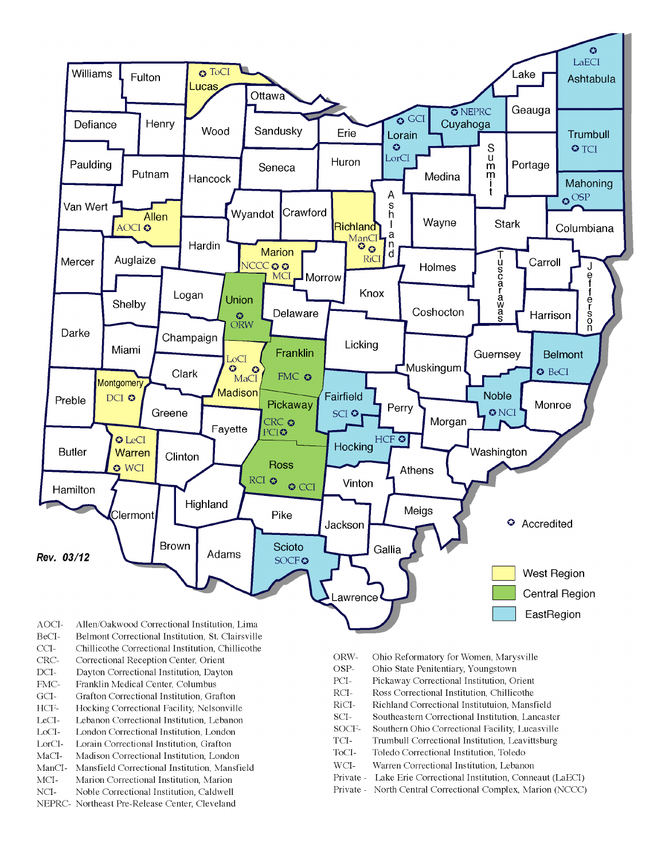

- BeCI-Belmont Correctional Institution, St. Clairsville
- $CCI-$ Chillicothe Correctional Institution, Chillicothe
- Correctional Reception Center, Orient CRC-
- $DCI-$ Dayton Correctional Institution, Dayton
- FMC-Franklin Medical Center, Columbus
- $\rm{GCI}\mbox{-}$ Grafton Correctional Institution, Grafton
- HCF-Hocking Correctional Facility, Nelsonville
- LeCI-Lebanon Correctional Institution, Lebanon
- LoCI-London Correctional Institution. London
- $\operatorname{LorCl-}$ Lorain Correctional Institution, Grafton
- $MaCI-$ Madison Correctional Institution, London
- ManCI-Mansfield Correctional Institution, Mansfield MCI-Marion Correctional Institution, Marion
- Noble Correctional Institution, Caldwell
- NCI-NEPRC- Northeast Pre-Release Center, Cleveland
- ORW-Ohio Reformatory for Women, Marysville
- OSP-Ohio State Penitentiary, Youngstown
- PCI-Pickaway Correctional Institution, Orient
- $\rm RCI-$ Ross Correctional Institution, Chillicothe
- RiCI-Richland Correctional Institutuion, Mansfield
- SCI-Southeastern Correctional Institution, Lancaster
- SOCF-Southern Ohio Correctional Facility, Lucasville
- TCI-Trumbull Correctional Institution, Leavittsburg
- ToCI-Toledo Correctional Institution, Toledo
- $WCI-$ Warren Correctional Institution, Lebanon
- Private Lake Erie Correctional Institution, Conneaut (LaECI)
- Private North Central Correctional Complex, Marion (NCCC)